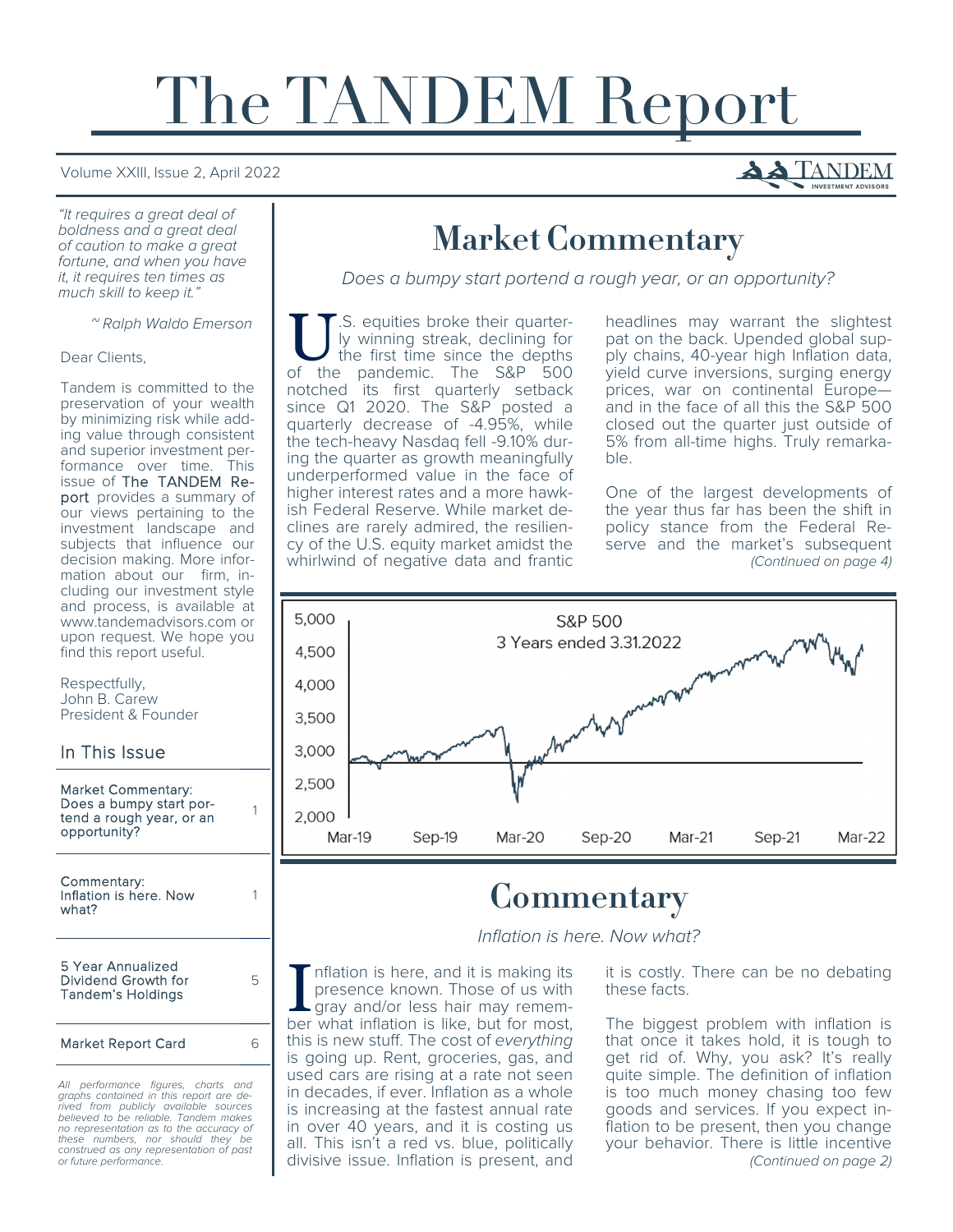# The TANDEM Report

#### Volume XXIII, Issue 2, April 2022

"It requires a great deal of boldness and a great deal of caution to make a great fortune, and when you have it, it requires ten times as much skill to keep it."

~ Ralph Waldo Emerson

#### Dear Clients,

Tandem is committed to the preservation of your wealth by minimizing risk while adding value through consistent and superior investment performance over time. This issue of The TANDEM Report provides a summary of our views pertaining to the investment landscape and subjects that influence our decision making. More information about our firm, including our investment style and process, is available at www.tandemadvisors.com or upon request. We hope you find this report useful.

Respectfully, John B. Carew President & Founder

#### In This Issue

Market Commentary: Does a bumpy start portend a rough year, or an opportunity?

1

1

5

Commentary: Inflation is here. Now what?

5 Year Annualized Dividend Growth for Tandem's Holdings

Market Report Card 6

All performance figures, charts and graphs contained in this report are derived from publicly available sources believed to be reliable. Tandem makes no representation as to the accuracy of these numbers, nor should they be construed as any representation of past or future performance.

## Market Commentary

Does a bumpy start portend a rough year, or an opportunity?

U.S. equities broke their quarter-<br>ly winning streak, declining for<br>the first time since the depths ly winning streak, declining for the first time since the depths of the pandemic. The S&P 500 notched its first quarterly setback since Q1 2020. The S&P posted a quarterly decrease of -4.95%, while the tech-heavy Nasdaq fell -9.10% during the quarter as growth meaningfully underperformed value in the face of higher interest rates and a more hawkish Federal Reserve. While market declines are rarely admired, the resiliency of the U.S. equity market amidst the whirlwind of negative data and frantic

headlines may warrant the slightest pat on the back. Upended global supply chains, 40-year high Inflation data, yield curve inversions, surging energy prices, war on continental Europe and in the face of all this the S&P 500 closed out the quarter just outside of 5% from all-time highs. Truly remarkable.

One of the largest developments of the year thus far has been the shift in policy stance from the Federal Reserve and the market's subsequent (Continued on page 4)



## **Commentary**

Inflation is here. Now what?

nflation is here, and it is making its presence known. Those of us with gray and/or less hair may remember what inflation is like, but for most, this is new stuff. The cost of everything is going up. Rent, groceries, gas, and used cars are rising at a rate not seen in decades, if ever. Inflation as a whole is increasing at the fastest annual rate in over 40 years, and it is costing us all. This isn't a red vs. blue, politically divisive issue. Inflation is present, and it is costly. There can be no debating these facts.

The biggest problem with inflation is that once it takes hold, it is tough to get rid of. Why, you ask? It's really quite simple. The definition of inflation is too much money chasing too few goods and services. If you expect inflation to be present, then you change your behavior. There is little incentive (Continued on page 2)

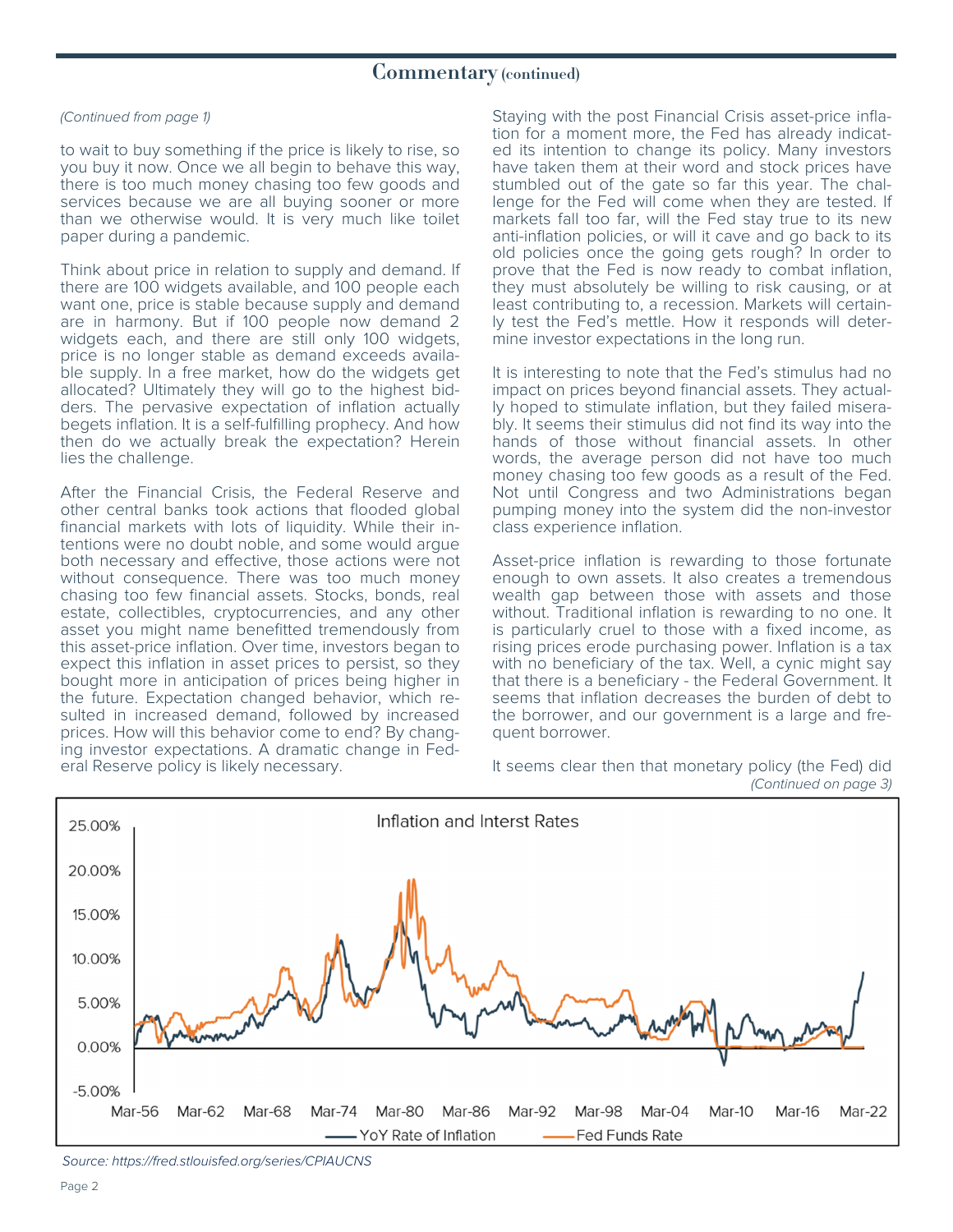#### Commentary (continued)

#### (Continued from page 1)

to wait to buy something if the price is likely to rise, so you buy it now. Once we all begin to behave this way, there is too much money chasing too few goods and services because we are all buying sooner or more than we otherwise would. It is very much like toilet paper during a pandemic.

Think about price in relation to supply and demand. If there are 100 widgets available, and 100 people each want one, price is stable because supply and demand are in harmony. But if 100 people now demand 2 widgets each, and there are still only 100 widgets, price is no longer stable as demand exceeds available supply. In a free market, how do the widgets get allocated? Ultimately they will go to the highest bidders. The pervasive expectation of inflation actually begets inflation. It is a self-fulfilling prophecy. And how then do we actually break the expectation? Herein lies the challenge.

After the Financial Crisis, the Federal Reserve and other central banks took actions that flooded global financial markets with lots of liquidity. While their intentions were no doubt noble, and some would argue both necessary and effective, those actions were not without consequence. There was too much money chasing too few financial assets. Stocks, bonds, real estate, collectibles, cryptocurrencies, and any other asset you might name benefitted tremendously from this asset-price inflation. Over time, investors began to expect this inflation in asset prices to persist, so they bought more in anticipation of prices being higher in the future. Expectation changed behavior, which resulted in increased demand, followed by increased prices. How will this behavior come to end? By changing investor expectations. A dramatic change in Federal Reserve policy is likely necessary.

Staying with the post Financial Crisis asset-price inflation for a moment more, the Fed has already indicated its intention to change its policy. Many investors have taken them at their word and stock prices have stumbled out of the gate so far this year. The challenge for the Fed will come when they are tested. If markets fall too far, will the Fed stay true to its new anti-inflation policies, or will it cave and go back to its old policies once the going gets rough? In order to prove that the Fed is now ready to combat inflation, they must absolutely be willing to risk causing, or at least contributing to, a recession. Markets will certainly test the Fed's mettle. How it responds will determine investor expectations in the long run.

It is interesting to note that the Fed's stimulus had no impact on prices beyond financial assets. They actually hoped to stimulate inflation, but they failed miserably. It seems their stimulus did not find its way into the hands of those without financial assets. In other words, the average person did not have too much money chasing too few goods as a result of the Fed. Not until Congress and two Administrations began pumping money into the system did the non-investor class experience inflation.

Asset-price inflation is rewarding to those fortunate enough to own assets. It also creates a tremendous wealth gap between those with assets and those without. Traditional inflation is rewarding to no one. It is particularly cruel to those with a fixed income, as rising prices erode purchasing power. Inflation is a tax with no beneficiary of the tax. Well, a cynic might say that there is a beneficiary - the Federal Government. It seems that inflation decreases the burden of debt to the borrower, and our government is a large and frequent borrower.

It seems clear then that monetary policy (the Fed) did (Continued on page 3)



Source: https://fred.stlouisfed.org/series/CPIAUCNS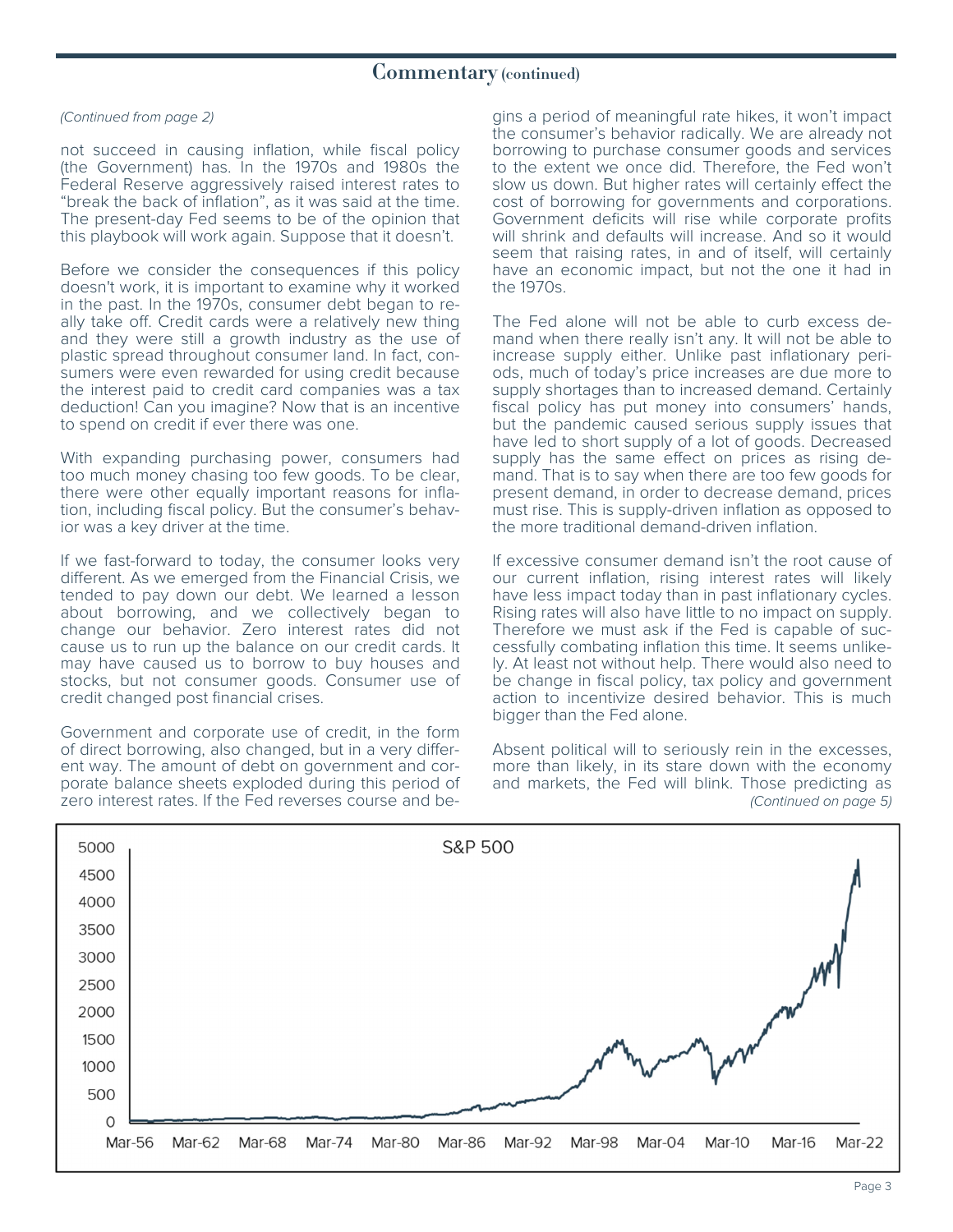#### (Continued from page 2)

not succeed in causing inflation, while fiscal policy (the Government) has. In the 1970s and 1980s the Federal Reserve aggressively raised interest rates to "break the back of inflation", as it was said at the time. The present-day Fed seems to be of the opinion that this playbook will work again. Suppose that it doesn't.

Before we consider the consequences if this policy doesn't work, it is important to examine why it worked in the past. In the 1970s, consumer debt began to really take off. Credit cards were a relatively new thing and they were still a growth industry as the use of plastic spread throughout consumer land. In fact, consumers were even rewarded for using credit because the interest paid to credit card companies was a tax deduction! Can you imagine? Now that is an incentive to spend on credit if ever there was one.

With expanding purchasing power, consumers had too much money chasing too few goods. To be clear, there were other equally important reasons for inflation, including fiscal policy. But the consumer's behavior was a key driver at the time.

If we fast-forward to today, the consumer looks very different. As we emerged from the Financial Crisis, we tended to pay down our debt. We learned a lesson about borrowing, and we collectively began to change our behavior. Zero interest rates did not cause us to run up the balance on our credit cards. It may have caused us to borrow to buy houses and stocks, but not consumer goods. Consumer use of credit changed post financial crises.

Government and corporate use of credit, in the form of direct borrowing, also changed, but in a very different way. The amount of debt on government and corporate balance sheets exploded during this period of zero interest rates. If the Fed reverses course and begins a period of meaningful rate hikes, it won't impact the consumer's behavior radically. We are already not borrowing to purchase consumer goods and services to the extent we once did. Therefore, the Fed won't slow us down. But higher rates will certainly effect the cost of borrowing for governments and corporations. Government deficits will rise while corporate profits will shrink and defaults will increase. And so it would seem that raising rates, in and of itself, will certainly have an economic impact, but not the one it had in the 1970s.

The Fed alone will not be able to curb excess demand when there really isn't any. It will not be able to increase supply either. Unlike past inflationary periods, much of today's price increases are due more to supply shortages than to increased demand. Certainly fiscal policy has put money into consumers' hands, but the pandemic caused serious supply issues that have led to short supply of a lot of goods. Decreased supply has the same effect on prices as rising demand. That is to say when there are too few goods for present demand, in order to decrease demand, prices must rise. This is supply-driven inflation as opposed to the more traditional demand-driven inflation.

If excessive consumer demand isn't the root cause of our current inflation, rising interest rates will likely have less impact today than in past inflationary cycles. Rising rates will also have little to no impact on supply. Therefore we must ask if the Fed is capable of successfully combating inflation this time. It seems unlikely. At least not without help. There would also need to be change in fiscal policy, tax policy and government action to incentivize desired behavior. This is much bigger than the Fed alone.

Absent political will to seriously rein in the excesses, more than likely, in its stare down with the economy and markets, the Fed will blink. Those predicting as (Continued on page 5)

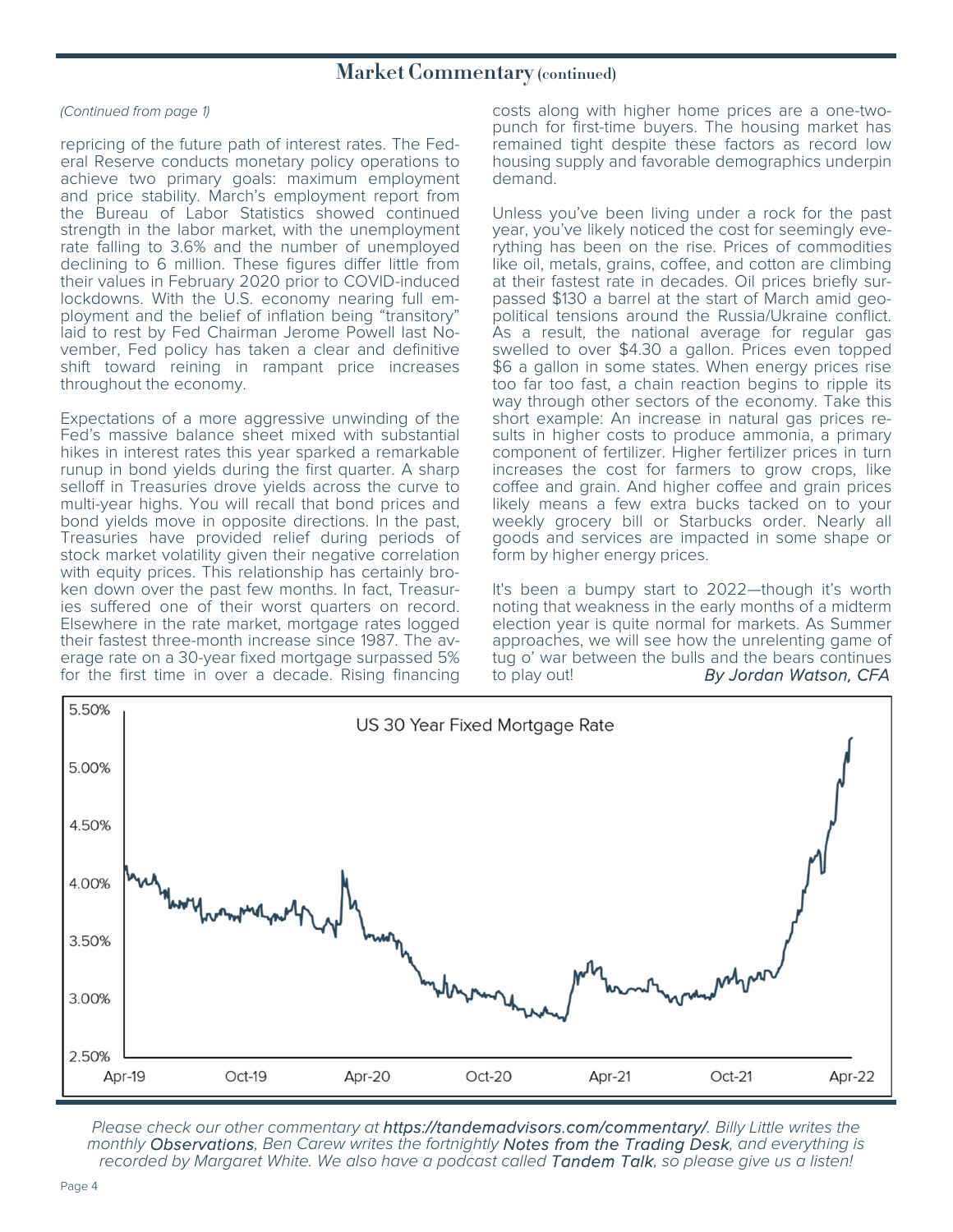### Market Commentary (continued)

#### (Continued from page 1)

repricing of the future path of interest rates. The Federal Reserve conducts monetary policy operations to achieve two primary goals: maximum employment and price stability. March's employment report from the Bureau of Labor Statistics showed continued strength in the labor market, with the unemployment rate falling to 3.6% and the number of unemployed declining to 6 million. These figures differ little from their values in February 2020 prior to COVID-induced lockdowns. With the U.S. economy nearing full employment and the belief of inflation being "transitory" laid to rest by Fed Chairman Jerome Powell last November, Fed policy has taken a clear and definitive shift toward reining in rampant price increases throughout the economy.

Expectations of a more aggressive unwinding of the Fed's massive balance sheet mixed with substantial hikes in interest rates this year sparked a remarkable runup in bond yields during the first quarter. A sharp selloff in Treasuries drove yields across the curve to multi-year highs. You will recall that bond prices and bond yields move in opposite directions. In the past, Treasuries have provided relief during periods of stock market volatility given their negative correlation with equity prices. This relationship has certainly broken down over the past few months. In fact, Treasuries suffered one of their worst quarters on record. Elsewhere in the rate market, mortgage rates logged their fastest three-month increase since 1987. The average rate on a 30-year fixed mortgage surpassed 5% for the first time in over a decade. Rising financing costs along with higher home prices are a one-twopunch for first-time buyers. The housing market has remained tight despite these factors as record low housing supply and favorable demographics underpin demand.

Unless you've been living under a rock for the past year, you've likely noticed the cost for seemingly everything has been on the rise. Prices of commodities like oil, metals, grains, coffee, and cotton are climbing at their fastest rate in decades. Oil prices briefly surpassed \$130 a barrel at the start of March amid geopolitical tensions around the Russia/Ukraine conflict. As a result, the national average for regular gas swelled to over \$4.30 a gallon. Prices even topped \$6 a gallon in some states. When energy prices rise too far too fast, a chain reaction begins to ripple its way through other sectors of the economy. Take this short example: An increase in natural gas prices results in higher costs to produce ammonia, a primary component of fertilizer. Higher fertilizer prices in turn increases the cost for farmers to grow crops, like coffee and grain. And higher coffee and grain prices likely means a few extra bucks tacked on to your weekly grocery bill or Starbucks order. Nearly all goods and services are impacted in some shape or form by higher energy prices.

It's been a bumpy start to 2022—though it's worth noting that weakness in the early months of a midterm election year is quite normal for markets. As Summer approaches, we will see how the unrelenting game of tug o' war between the bulls and the bears continues to play out! By Jordan Watson, CFA



Please check our other commentary at https://tandemadvisors.com/commentary/. Billy Little writes the monthly Observations, Ben Carew writes the fortnightly Notes from the Trading Desk, and everything is recorded by Margaret White. We also have a podcast called Tandem Talk, so please give us a listen!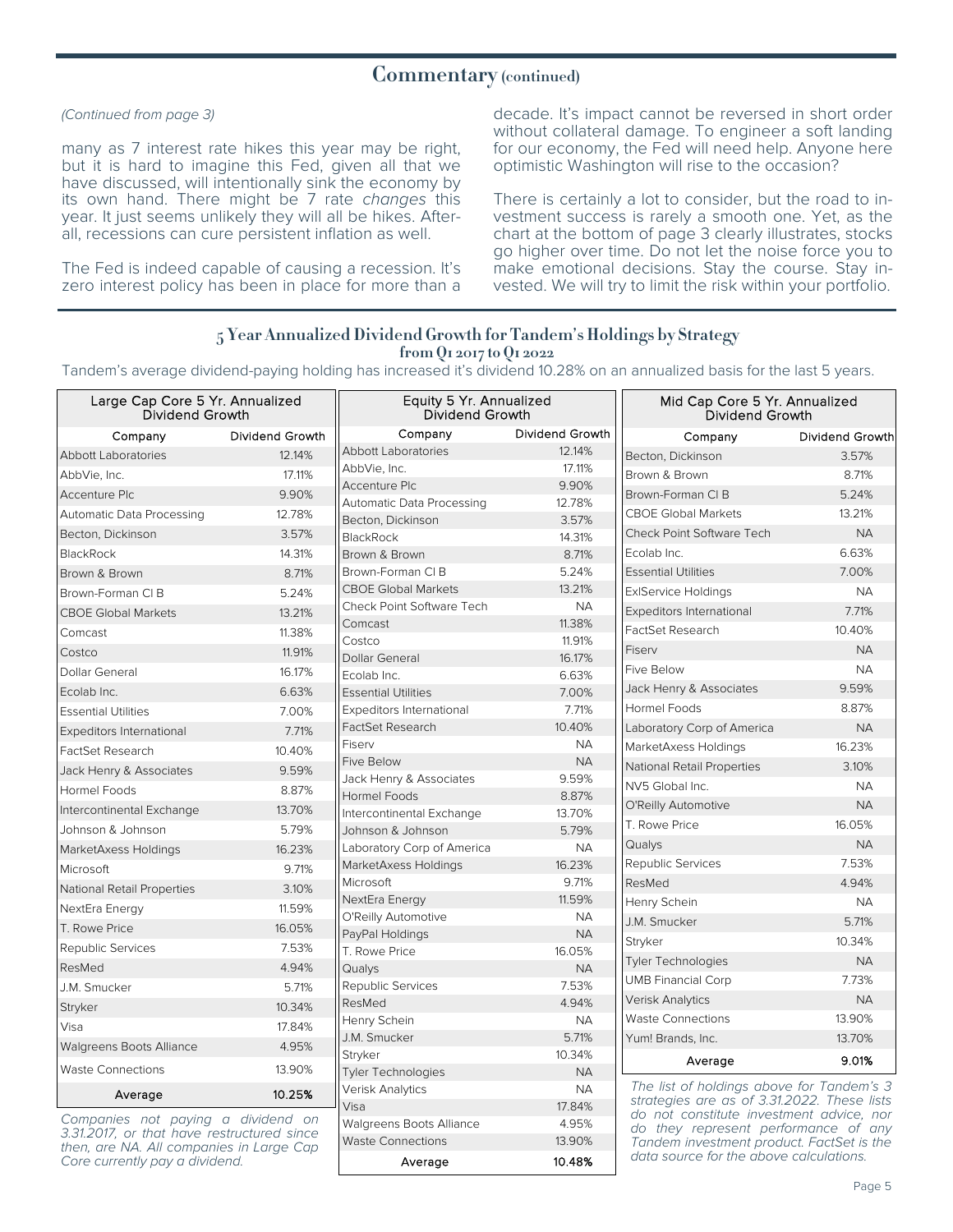#### Commentary (continued)

#### (Continued from page 3)

many as 7 interest rate hikes this year may be right, but it is hard to imagine this Fed, given all that we have discussed, will intentionally sink the economy by its own hand. There might be 7 rate changes this year. It just seems unlikely they will all be hikes. Afterall, recessions can cure persistent inflation as well.

The Fed is indeed capable of causing a recession. It's zero interest policy has been in place for more than a

decade. It's impact cannot be reversed in short order without collateral damage. To engineer a soft landing for our economy, the Fed will need help. Anyone here optimistic Washington will rise to the occasion?

There is certainly a lot to consider, but the road to investment success is rarely a smooth one. Yet, as the chart at the bottom of page 3 clearly illustrates, stocks go higher over time. Do not let the noise force you to make emotional decisions. Stay the course. Stay invested. We will try to limit the risk within your portfolio.

#### 5 Year Annualized Dividend Growth for Tandem's Holdings by Strategy from Q1 2017 to Q1 2022

Tandem's average dividend-paying holding has increased it's dividend 10.28% on an annualized basis for the last 5 years.

| Large Cap Core 5 Yr. Annualized<br><b>Dividend Growth</b> |                 | Equity 5 Yr. Annualized<br>Dividend Growth                  |                     | Mid Cap Core 5 Yr. Annualized<br>Dividend Growth                                         |                 |  |
|-----------------------------------------------------------|-----------------|-------------------------------------------------------------|---------------------|------------------------------------------------------------------------------------------|-----------------|--|
| Company                                                   | Dividend Growth | Company                                                     | Dividend Growth     | Company                                                                                  | Dividend Growth |  |
| <b>Abbott Laboratories</b>                                | 12.14%          | <b>Abbott Laboratories</b>                                  | 12.14%              | Becton, Dickinson                                                                        | 3.57%           |  |
| AbbVie, Inc.                                              | 17.11%          | AbbVie, Inc.                                                | 17.11%              | Brown & Brown                                                                            | 8.71%           |  |
| Accenture Plc                                             | 9.90%           | <b>Accenture Plc</b>                                        | 9.90%               | Brown-Forman CLB                                                                         | 5.24%           |  |
| Automatic Data Processing                                 | 12.78%          | Automatic Data Processing                                   | 12.78%<br>3.57%     | <b>CBOE Global Markets</b>                                                               | 13.21%          |  |
| Becton, Dickinson                                         | 3.57%           | Becton, Dickinson<br>BlackRock                              | 14.31%              | <b>Check Point Software Tech</b>                                                         | <b>NA</b>       |  |
| <b>BlackRock</b>                                          | 14.31%          | Brown & Brown                                               | 8.71%               | Ecolab Inc.                                                                              | 6.63%           |  |
| Brown & Brown                                             | 8.71%           | Brown-Forman CI B                                           | 5.24%               | <b>Essential Utilities</b>                                                               | 7.00%           |  |
| Brown-Forman CI B                                         | 5.24%           | <b>CBOE Global Markets</b>                                  | 13.21%              | <b>ExIService Holdings</b>                                                               | <b>NA</b>       |  |
| <b>CBOE Global Markets</b>                                | 13.21%          | Check Point Software Tech                                   | <b>NA</b>           | 7.71%<br>Expeditors International                                                        |                 |  |
| Comcast                                                   | 11.38%          | Comcast                                                     | 11.38%              | <b>FactSet Research</b>                                                                  | 10.40%          |  |
|                                                           |                 | Costco                                                      | 11.91%              | Fiserv                                                                                   | <b>NA</b>       |  |
| Costco                                                    | 11.91%          | Dollar General                                              | 16.17%              | Five Below                                                                               | <b>NA</b>       |  |
| Dollar General                                            | 16.17%          | Ecolab Inc.                                                 | 6.63%               |                                                                                          | 9.59%           |  |
| Ecolab Inc.                                               | 6.63%           | <b>Essential Utilities</b>                                  | 7.00%               | Jack Henry & Associates<br><b>Hormel Foods</b>                                           | 8.87%           |  |
| <b>Essential Utilities</b>                                | 7.00%           | Expeditors International                                    | 7.71%               |                                                                                          |                 |  |
| Expeditors International                                  | 7.71%           | <b>FactSet Research</b><br>Fiserv                           | 10.40%<br><b>NA</b> | Laboratory Corp of America                                                               | <b>NA</b>       |  |
| <b>FactSet Research</b>                                   | 10.40%          | <b>Five Below</b>                                           | <b>NA</b>           | MarketAxess Holdings                                                                     | 16.23%          |  |
| Jack Henry & Associates                                   | 9.59%           | Jack Henry & Associates                                     | 9.59%               | National Retail Properties                                                               | 3.10%           |  |
| Hormel Foods                                              | 8.87%           | <b>Hormel Foods</b>                                         | 8.87%               | NV5 Global Inc.                                                                          | <b>NA</b>       |  |
| Intercontinental Exchange                                 | 13.70%          | Intercontinental Exchange                                   | 13.70%              | O'Reilly Automotive                                                                      | <b>NA</b>       |  |
| Johnson & Johnson                                         | 5.79%           | Johnson & Johnson                                           | 5.79%               | T. Rowe Price                                                                            | 16.05%          |  |
| MarketAxess Holdings                                      | 16.23%          | Laboratory Corp of America                                  | <b>NA</b>           | Qualys                                                                                   | <b>NA</b>       |  |
| Microsoft                                                 | 9.71%           | MarketAxess Holdings                                        | 16.23%              | Republic Services                                                                        | 7.53%           |  |
| National Retail Properties                                | 3.10%           | Microsoft                                                   | 9.71%               | ResMed                                                                                   | 4.94%           |  |
| NextEra Energy                                            | 11.59%          | NextEra Energy                                              | 11.59%              | Henry Schein                                                                             | <b>NA</b>       |  |
| T. Rowe Price                                             | 16.05%          | O'Reilly Automotive                                         | <b>NA</b>           | J.M. Smucker                                                                             | 5.71%           |  |
| <b>Republic Services</b>                                  | 7.53%           | PayPal Holdings                                             | <b>NA</b>           | Stryker                                                                                  | 10.34%          |  |
| ResMed                                                    | 4.94%           | T. Rowe Price<br>Qualys                                     | 16.05%<br><b>NA</b> | Tyler Technologies                                                                       | <b>NA</b>       |  |
| J.M. Smucker                                              | 5.71%           | Republic Services                                           | 7.53%               | <b>UMB Financial Corp</b>                                                                | 7.73%           |  |
|                                                           |                 | ResMed                                                      | 4.94%               | Verisk Analytics                                                                         | <b>NA</b>       |  |
| Stryker                                                   | 10.34%          | Henry Schein                                                | <b>NA</b>           | <b>Waste Connections</b>                                                                 | 13.90%          |  |
| Visa                                                      | 17.84%          | J.M. Smucker                                                | 5.71%               | Yum! Brands, Inc.                                                                        | 13.70%          |  |
| Walgreens Boots Alliance                                  | 4.95%           | Stryker                                                     | 10.34%              | Average                                                                                  | 9.01%           |  |
| <b>Waste Connections</b>                                  | 13.90%          | <b>Tyler Technologies</b>                                   | <b>NA</b>           |                                                                                          |                 |  |
| Average                                                   | 10.25%          | Verisk Analytics                                            | <b>NA</b>           | The list of holdings above for Tandem's 3<br>strategies are as of 3.31.2022. These lists |                 |  |
| Companies not paying a dividend on                        |                 | Visa                                                        | 17.84%              | do not constitute investment advice, nor                                                 |                 |  |
| 3.31.2017, or that have restructured since                |                 | <b>Walgreens Boots Alliance</b><br><b>Waste Connections</b> | 4.95%<br>13.90%     | do they represent performance of any                                                     |                 |  |
| then are NA All companies in Large Cap                    |                 |                                                             |                     | Tandem investment product. FactSet is the                                                |                 |  |

Average 10.48%

then, are NA. All companies in Large Cap Core currently pay a dividend.

data source for the above calculations.